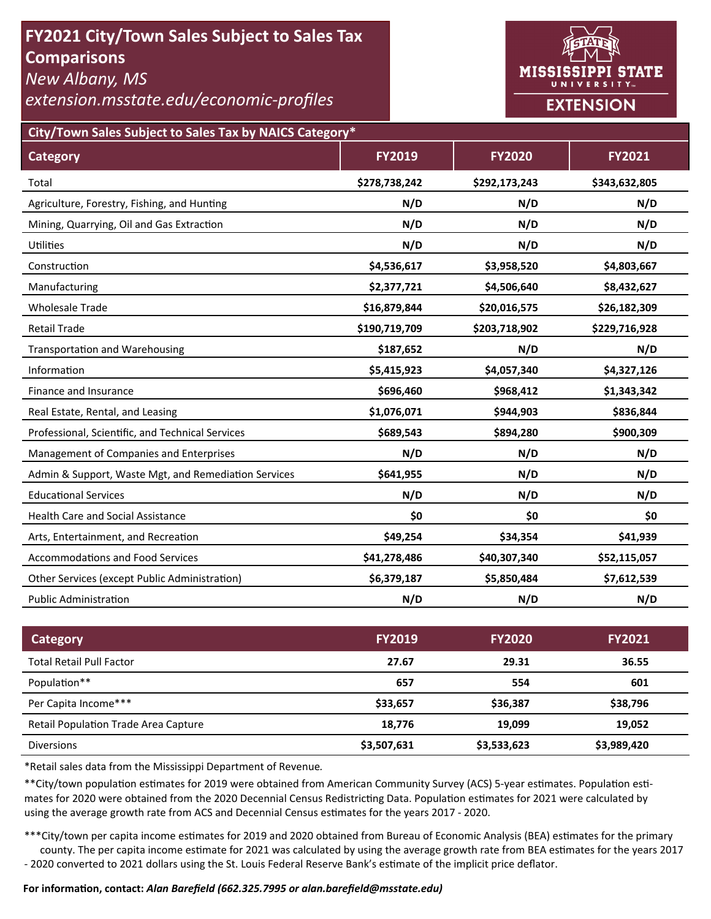# **FY2021 City/Town Sales Subject to Sales Tax Comparisons**

*New Albany, MS* 

*extension.msstate.edu/economic‐profiles* 



**City/Town Sales Subject to Sales Tax by NAICS Category\***

| <b>Category</b>                                      | <b>FY2019</b> | <b>FY2020</b> | <b>FY2021</b> |
|------------------------------------------------------|---------------|---------------|---------------|
| Total                                                | \$278,738,242 | \$292,173,243 | \$343,632,805 |
| Agriculture, Forestry, Fishing, and Hunting          | N/D           | N/D           | N/D           |
| Mining, Quarrying, Oil and Gas Extraction            | N/D           | N/D           | N/D           |
| <b>Utilities</b>                                     | N/D           | N/D           | N/D           |
| Construction                                         | \$4,536,617   | \$3,958,520   | \$4,803,667   |
| Manufacturing                                        | \$2,377,721   | \$4,506,640   | \$8,432,627   |
| <b>Wholesale Trade</b>                               | \$16,879,844  | \$20,016,575  | \$26,182,309  |
| <b>Retail Trade</b>                                  | \$190,719,709 | \$203,718,902 | \$229,716,928 |
| <b>Transportation and Warehousing</b>                | \$187,652     | N/D           | N/D           |
| Information                                          | \$5,415,923   | \$4,057,340   | \$4,327,126   |
| Finance and Insurance                                | \$696,460     | \$968,412     | \$1,343,342   |
| Real Estate, Rental, and Leasing                     | \$1,076,071   | \$944,903     | \$836,844     |
| Professional, Scientific, and Technical Services     | \$689,543     | \$894,280     | \$900,309     |
| Management of Companies and Enterprises              | N/D           | N/D           | N/D           |
| Admin & Support, Waste Mgt, and Remediation Services | \$641,955     | N/D           | N/D           |
| <b>Educational Services</b>                          | N/D           | N/D           | N/D           |
| <b>Health Care and Social Assistance</b>             | \$0           | \$0           | \$0           |
| Arts, Entertainment, and Recreation                  | \$49,254      | \$34,354      | \$41,939      |
| <b>Accommodations and Food Services</b>              | \$41,278,486  | \$40,307,340  | \$52,115,057  |
| Other Services (except Public Administration)        | \$6,379,187   | \$5,850,484   | \$7,612,539   |
| <b>Public Administration</b>                         | N/D           | N/D           | N/D           |

| Category                                    | <b>FY2019</b> | <b>FY2020</b> | <b>FY2021</b> |
|---------------------------------------------|---------------|---------------|---------------|
| <b>Total Retail Pull Factor</b>             | 27.67         | 29.31         | 36.55         |
| Population**                                | 657           | 554           | 601           |
| Per Capita Income***                        | \$33,657      | \$36,387      | \$38,796      |
| <b>Retail Population Trade Area Capture</b> | 18.776        | 19.099        | 19,052        |
| <b>Diversions</b>                           | \$3,507,631   | \$3,533,623   | \$3,989,420   |

\*Retail sales data from the Mississippi Department of Revenue*.* 

\*\*City/town population estimates for 2019 were obtained from American Community Survey (ACS) 5-year estimates. Population estimates for 2020 were obtained from the 2020 Decennial Census Redistricting Data. Population estimates for 2021 were calculated by using the average growth rate from ACS and Decennial Census estimates for the years 2017 - 2020.

\*\*\*City/town per capita income estimates for 2019 and 2020 obtained from Bureau of Economic Analysis (BEA) estimates for the primary county. The per capita income estimate for 2021 was calculated by using the average growth rate from BEA estimates for the years 2017 - 2020 converted to 2021 dollars using the St. Louis Federal Reserve Bank's estimate of the implicit price deflator.

### **For informaƟon, contact:** *Alan Barefield (662.325.7995 or alan.barefield@msstate.edu)*